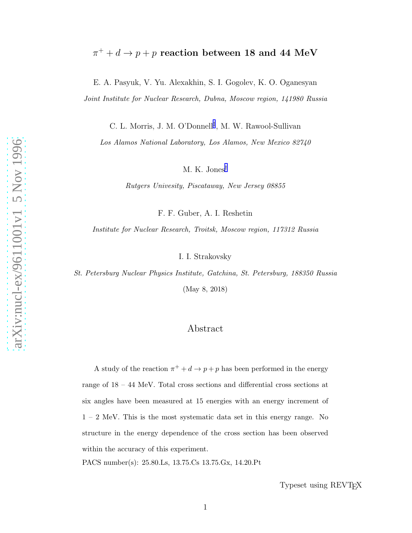# $\pi^+ + d \rightarrow p + p$  reaction between 18 and 44 MeV

E. A. Pasyuk, V. Yu. Alexakhin, S. I. Gogolev, K. O. Oganesyan

Joint Institute for Nuclear Research, Dubna, Moscow region, 141980 Russia

C. L. Morris, J. M. O'Donnell<sup>[‡](#page-10-0)</sup>, M. W. Rawool-Sullivan

Los Alamos National Laboratory, Los Alamos, New Mexico 8274 0

M. K. Jones [†](#page-10-0)

Rutgers Univesity, Piscataway, New Jersey 08855

F. F. Guber, A. I. Reshetin

Institute for Nuclear Research, Troitsk, Moscow region, 117312 Russia

I. I. Strakovsky

St. Petersburg Nuclear Physics Institute, Gatchina, St. Petersburg, 188350 Russia

(May 8, 2018)

# Abstract

A study of the reaction  $\pi^+ + d \to p + p$  has been performed in the energy range of 18 – 44 MeV. Total cross sections and differential cross sections at six angles have been measured at 15 energies with an energy increment of 1 – 2 MeV. This is the most systematic data set in this energy range. No structure in the energy dependence of the cross section has been observed within the accuracy of this experiment.

PACS number(s): 25.80.Ls, 13.75.Cs 13.75.Gx, 14.20.Pt

Typeset using REVTEX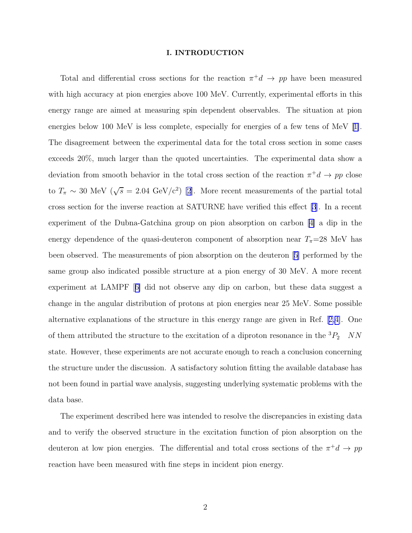#### I. INTRODUCTION

Total and differential cross sections for the reaction  $\pi^+d \to pp$  have been measured with high accuracy at pion energies above 100 MeV. Currently, experimental efforts in this energy range are aimed at measuring spin dependent observables. The situation at pion energies below 100 MeV is less complete, especially for energies of a few tens of MeV[[1\]](#page-10-0). The disagreement between the experimental data for the total cross section in some cases exceeds 20%, much larger than the quoted uncertainties. The experimental data show a deviation from smooth behavior in the total cross section of the reaction  $\pi^+d \to pp$  close to  $T_{\pi} \sim 30$  MeV ( $\sqrt{s} = 2.04$  GeV/c<sup>2</sup>) [\[2](#page-10-0)]. More recent measurements of the partial total cross section for the inverse reaction at SATURNE have verified this effect [\[3](#page-10-0)]. In a recent experiment of the Dubna-Gatchina group on pion absorption on carbon[[4\]](#page-10-0) a dip in the energy dependence of the quasi-deuteron component of absorption near  $T_{\pi}$ =28 MeV has been observed. The measurements of pion absorption on the deuteron [\[5\]](#page-10-0) performed by the same group also indicated possible structure at a pion energy of 30 MeV. A more recent experiment at LAMPF[[6\]](#page-10-0) did not observe any dip on carbon, but these data suggest a change in the angular distribution of protons at pion energies near 25 MeV. Some possible alternative explanations of the structure in this energy range are given in Ref.[[2,4\]](#page-10-0). One of them attributed the structure to the excitation of a diproton resonance in the  ${}^{3}P_{2}$  NN state. However, these experiments are not accurate enough to reach a conclusion concerning the structure under the discussion. A satisfactory solution fitting the available database has not been found in partial wave analysis, suggesting underlying systematic problems with the data base.

The experiment described here was intended to resolve the discrepancies in existing data and to verify the observed structure in the excitation function of pion absorption on the deuteron at low pion energies. The differential and total cross sections of the  $\pi^+d \to pp$ reaction have been measured with fine steps in incident pion energy.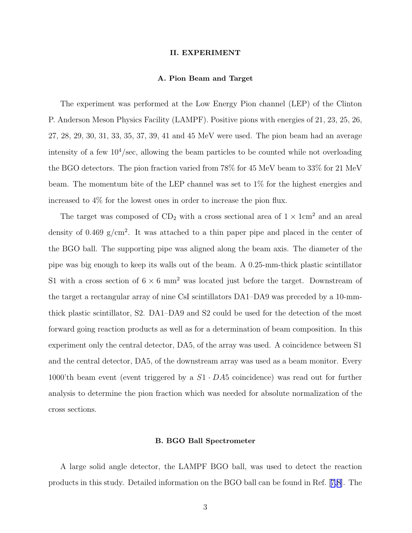#### II. EXPERIMENT

# A. Pion Beam and Target

The experiment was performed at the Low Energy Pion channel (LEP) of the Clinton P. Anderson Meson Physics Facility (LAMPF). Positive pions with energies of 21, 23, 25, 26, 27, 28, 29, 30, 31, 33, 35, 37, 39, 41 and 45 MeV were used. The pion beam had an average intensity of a few  $10^4$ /sec, allowing the beam particles to be counted while not overloading the BGO detectors. The pion fraction varied from 78% for 45 MeV beam to 33% for 21 MeV beam. The momentum bite of the LEP channel was set to 1% for the highest energies and increased to 4% for the lowest ones in order to increase the pion flux.

The target was composed of  $CD_2$  with a cross sectional area of  $1 \times 1 \text{cm}^2$  and an areal density of 0.469  $g/cm^2$ . It was attached to a thin paper pipe and placed in the center of the BGO ball. The supporting pipe was aligned along the beam axis. The diameter of the pipe was big enough to keep its walls out of the beam. A 0.25-mm-thick plastic scintillator S1 with a cross section of  $6 \times 6$  mm<sup>2</sup> was located just before the target. Downstream of the target a rectangular array of nine CsI scintillators DA1–DA9 was preceded by a 10-mmthick plastic scintillator, S2. DA1–DA9 and S2 could be used for the detection of the most forward going reaction products as well as for a determination of beam composition. In this experiment only the central detector, DA5, of the array was used. A coincidence between S1 and the central detector, DA5, of the downstream array was used as a beam monitor. Every 1000'th beam event (event triggered by a  $S1 \cdot D45$  coincidence) was read out for further analysis to determine the pion fraction which was needed for absolute normalization of the cross sections.

## B. BGO Ball Spectrometer

A large solid angle detector, the LAMPF BGO ball, was used to detect the reaction products in this study. Detailed information on the BGO ball can be found in Ref.[[7,](#page-10-0)[8\]](#page-11-0). The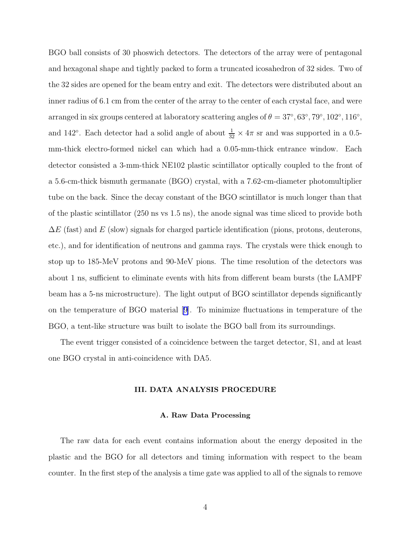BGO ball consists of 30 phoswich detectors. The detectors of the array were of pentagonal and hexagonal shape and tightly packed to form a truncated icosahedron of 32 sides. Two of the 32 sides are opened for the beam entry and exit. The detectors were distributed about an inner radius of 6.1 cm from the center of the array to the center of each crystal face, and were arranged in six groups centered at laboratory scattering angles of  $\theta = 37^{\circ}, 63^{\circ}, 79^{\circ}, 102^{\circ}, 116^{\circ}$ , and 142<sup>°</sup>. Each detector had a solid angle of about  $\frac{1}{32} \times 4\pi$  sr and was supported in a 0.5mm-thick electro-formed nickel can which had a 0.05-mm-thick entrance window. Each detector consisted a 3-mm-thick NE102 plastic scintillator optically coupled to the front of a 5.6-cm-thick bismuth germanate (BGO) crystal, with a 7.62-cm-diameter photomultiplier tube on the back. Since the decay constant of the BGO scintillator is much longer than that of the plastic scintillator (250 ns vs 1.5 ns), the anode signal was time sliced to provide both  $\Delta E$  (fast) and E (slow) signals for charged particle identification (pions, protons, deuterons, etc.), and for identification of neutrons and gamma rays. The crystals were thick enough to stop up to 185-MeV protons and 90-MeV pions. The time resolution of the detectors was about 1 ns, sufficient to eliminate events with hits from different beam bursts (the LAMPF beam has a 5-ns microstructure). The light output of BGO scintillator depends significantly on the temperature of BGO material[[9\]](#page-11-0). To minimize fluctuations in temperature of the BGO, a tent-like structure was built to isolate the BGO ball from its surroundings.

The event trigger consisted of a coincidence between the target detector, S1, and at least one BGO crystal in anti-coincidence with DA5.

# III. DATA ANALYSIS PROCEDURE

## A. Raw Data Processing

The raw data for each event contains information about the energy deposited in the plastic and the BGO for all detectors and timing information with respect to the beam counter. In the first step of the analysis a time gate was applied to all of the signals to remove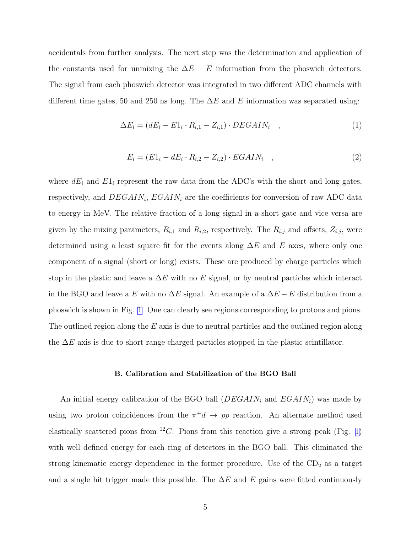accidentals from further analysis. The next step was the determination and application of the constants used for unmixing the  $\Delta E - E$  information from the phoswich detectors. The signal from each phoswich detector was integrated in two different ADC channels with different time gates, 50 and 250 ns long. The  $\Delta E$  and E information was separated using:

$$
\Delta E_i = (dE_i - E1_i \cdot R_{i,1} - Z_{i,1}) \cdot DEGAIN_i \quad , \tag{1}
$$

$$
E_i = (E1_i - dE_i \cdot R_{i,2} - Z_{i,2}) \cdot EGAIN_i , \qquad (2)
$$

where  $dE_i$  and  $E1_i$  represent the raw data from the ADC's with the short and long gates, respectively, and  $DEGAN_i$ ,  $EGAIN_i$  are the coefficients for conversion of raw ADC data to energy in MeV. The relative fraction of a long signal in a short gate and vice versa are given by the mixing parameters,  $R_{i,1}$  and  $R_{i,2}$ , respectively. The  $R_{i,j}$  and offsets,  $Z_{i,j}$ , were determined using a least square fit for the events along  $\Delta E$  and E axes, where only one component of a signal (short or long) exists. These are produced by charge particles which stop in the plastic and leave a  $\Delta E$  with no E signal, or by neutral particles which interact in the BGO and leave a E with no  $\Delta E$  signal. An example of a  $\Delta E - E$  distribution from a phoswich is shown in Fig. [1.](#page-13-0) One can clearly see regions corresponding to protons and pions. The outlined region along the  $E$  axis is due to neutral particles and the outlined region along the  $\Delta E$  axis is due to short range charged particles stopped in the plastic scintillator.

#### B. Calibration and Stabilization of the BGO Ball

An initial energy calibration of the BGO ball  $(DEGAIN_i)$  and  $EGAIN_i)$  was made by using two proton coincidences from the  $\pi^+d \to pp$  reaction. An alternate method used elastically scattered pions from  ${}^{12}C$ . Pions from this reaction give a strong peak (Fig. [1\)](#page-13-0) with well defined energy for each ring of detectors in the BGO ball. This eliminated the strong kinematic energy dependence in the former procedure. Use of the  $CD<sub>2</sub>$  as a target and a single hit trigger made this possible. The  $\Delta E$  and E gains were fitted continuously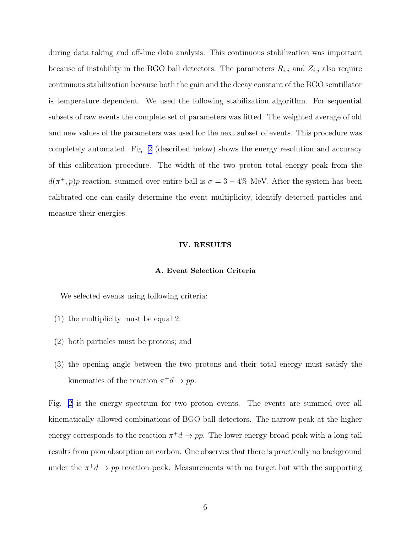during data taking and off-line data analysis. This continuous stabilization was important because of instability in the BGO ball detectors. The parameters  $R_{i,j}$  and  $Z_{i,j}$  also require continuous stabilization because both the gain and the decay constant of the BGO scintillator is temperature dependent. We used the following stabilization algorithm. For sequential subsets of raw events the complete set of parameters was fitted. The weighted average of old and new values of the parameters was used for the next subset of events. This procedure was completely automated. Fig. [2](#page-13-0) (described below) shows the energy resolution and accuracy of this calibration procedure. The width of the two proton total energy peak from the  $d(\pi^+, p)p$  reaction, summed over entire ball is  $\sigma = 3 - 4\%$  MeV. After the system has been calibrated one can easily determine the event multiplicity, identify detected particles and measure their energies.

#### IV. RESULTS

# A. Event Selection Criteria

We selected events using following criteria:

- (1) the multiplicity must be equal 2;
- (2) both particles must be protons; and
- (3) the opening angle between the two protons and their total energy must satisfy the kinematics of the reaction  $\pi^+d \to pp$ .

Fig. [2](#page-13-0) is the energy spectrum for two proton events. The events are summed over all kinematically allowed combinations of BGO ball detectors. The narrow peak at the higher energy corresponds to the reaction  $\pi^+d \to pp$ . The lower energy broad peak with a long tail results from pion absorption on carbon. One observes that there is practically no background under the  $\pi^+d \to pp$  reaction peak. Measurements with no target but with the supporting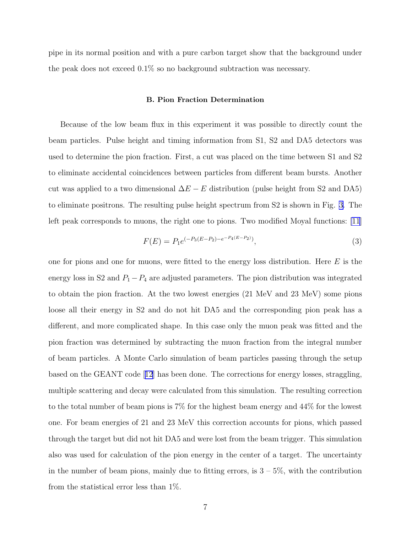<span id="page-6-0"></span>pipe in its normal position and with a pure carbon target show that the background under the peak does not exceed 0.1% so no background subtraction was necessary.

## B. Pion Fraction Determination

Because of the low beam flux in this experiment it was possible to directly count the beam particles. Pulse height and timing information from S1, S2 and DA5 detectors was used to determine the pion fraction. First, a cut was placed on the time between S1 and S2 to eliminate accidental coincidences between particles from different beam bursts. Another cut was applied to a two dimensional  $\Delta E - E$  distribution (pulse height from S2 and DA5) to eliminate positrons. The resulting pulse height spectrum from S2 is shown in Fig. [3.](#page-13-0) The left peak corresponds to muons, the right one to pions. Two modified Moyal functions: [\[11](#page-11-0)]

$$
F(E) = P_1 e^{(-P_3(E - P_2) - e^{-P_4(E - P_2)})},
$$
\n(3)

one for pions and one for muons, were fitted to the energy loss distribution. Here  $E$  is the energy loss in S2 and  $P_1 - P_4$  are adjusted parameters. The pion distribution was integrated to obtain the pion fraction. At the two lowest energies (21 MeV and 23 MeV) some pions loose all their energy in S2 and do not hit DA5 and the corresponding pion peak has a different, and more complicated shape. In this case only the muon peak was fitted and the pion fraction was determined by subtracting the muon fraction from the integral number of beam particles. A Monte Carlo simulation of beam particles passing through the setup based on the GEANT code[[12](#page-11-0)] has been done. The corrections for energy losses, straggling, multiple scattering and decay were calculated from this simulation. The resulting correction to the total number of beam pions is 7% for the highest beam energy and 44% for the lowest one. For beam energies of 21 and 23 MeV this correction accounts for pions, which passed through the target but did not hit DA5 and were lost from the beam trigger. This simulation also was used for calculation of the pion energy in the center of a target. The uncertainty in the number of beam pions, mainly due to fitting errors, is  $3 - 5\%$ , with the contribution from the statistical error less than 1%.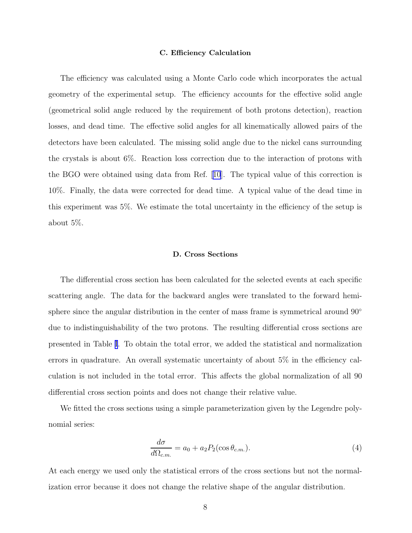#### C. Efficiency Calculation

<span id="page-7-0"></span>The efficiency was calculated using a Monte Carlo code which incorporates the actual geometry of the experimental setup. The efficiency accounts for the effective solid angle (geometrical solid angle reduced by the requirement of both protons detection), reaction losses, and dead time. The effective solid angles for all kinematically allowed pairs of the detectors have been calculated. The missing solid angle due to the nickel cans surrounding the crystals is about 6%. Reaction loss correction due to the interaction of protons with the BGO were obtained using data from Ref.[[10](#page-11-0)]. The typical value of this correction is 10%. Finally, the data were corrected for dead time. A typical value of the dead time in this experiment was 5%. We estimate the total uncertainty in the efficiency of the setup is about 5%.

#### D. Cross Sections

The differential cross section has been calculated for the selected events at each specific scattering angle. The data for the backward angles were translated to the forward hemisphere since the angular distribution in the center of mass frame is symmetrical around 90<sup>°</sup> due to indistinguishability of the two protons. The resulting differential cross sections are presented in Table [I](#page-14-0). To obtain the total error, we added the statistical and normalization errors in quadrature. An overall systematic uncertainty of about 5% in the efficiency calculation is not included in the total error. This affects the global normalization of all 90 differential cross section points and does not change their relative value.

We fitted the cross sections using a simple parameterization given by the Legendre polynomial series:

$$
\frac{d\sigma}{d\Omega_{c.m.}} = a_0 + a_2 P_2(\cos \theta_{c.m.}).\tag{4}
$$

At each energy we used only the statistical errors of the cross sections but not the normalization error because it does not change the relative shape of the angular distribution.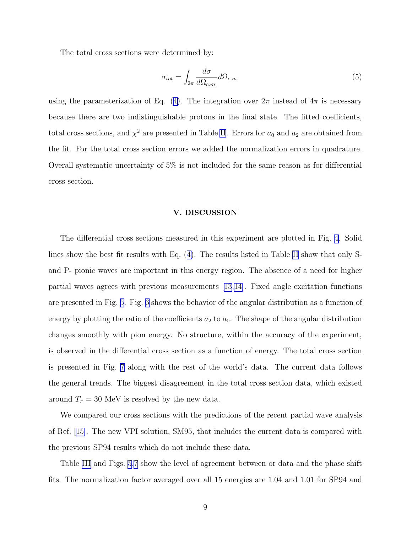The total cross sections were determined by:

$$
\sigma_{tot} = \int_{2\pi} \frac{d\sigma}{d\Omega_{c.m.}} d\Omega_{c.m.} \tag{5}
$$

usingthe parameterization of Eq. ([4\)](#page-7-0). The integration over  $2\pi$  instead of  $4\pi$  is necessary because there are two indistinguishable protons in the final state. The fitted coefficients, total cross sections, and  $\chi^2$  are presented in Table [II](#page-18-0). Errors for  $a_0$  and  $a_2$  are obtained from the fit. For the total cross section errors we added the normalization errors in quadrature. Overall systematic uncertainty of 5% is not included for the same reason as for differential cross section.

## V. DISCUSSION

The differential cross sections measured in this experiment are plotted in Fig. [4](#page-13-0). Solid lines show the best fit results with Eq.([4\)](#page-7-0). The results listed in Table [II](#page-18-0) show that only Sand P- pionic waves are important in this energy region. The absence of a need for higher partial waves agrees with previous measurements [\[13,14\]](#page-11-0). Fixed angle excitation functions are presented in Fig. [5](#page-13-0). Fig. [6](#page-13-0) shows the behavior of the angular distribution as a function of energy by plotting the ratio of the coefficients  $a_2$  to  $a_0$ . The shape of the angular distribution changes smoothly with pion energy. No structure, within the accuracy of the experiment, is observed in the differential cross section as a function of energy. The total cross section is presented in Fig. [7](#page-13-0) along with the rest of the world's data. The current data follows the general trends. The biggest disagreement in the total cross section data, which existed around  $T_{\pi} = 30$  MeV is resolved by the new data.

We compared our cross sections with the predictions of the recent partial wave analysis of Ref. [\[15\]](#page-11-0). The new VPI solution, SM95, that includes the current data is compared with the previous SP94 results which do not include these data.

Table [III](#page-19-0) and Figs. [5,7](#page-13-0) show the level of agreement between or data and the phase shift fits. The normalization factor averaged over all 15 energies are 1.04 and 1.01 for SP94 and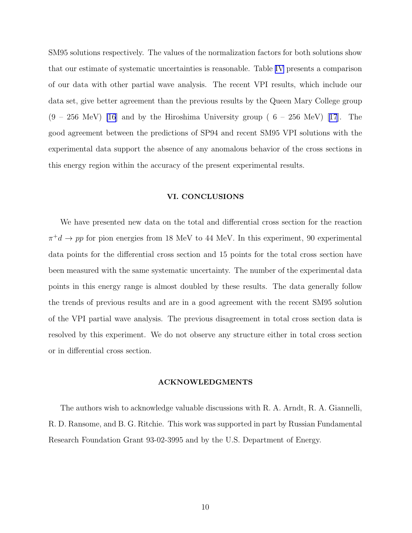SM95 solutions respectively. The values of the normalization factors for both solutions show that our estimate of systematic uncertainties is reasonable. Table [IV](#page-20-0) presents a comparison of our data with other partial wave analysis. The recent VPI results, which include our data set, give better agreement than the previous results by the Queen Mary College group  $(9 - 256 \text{ MeV})$  [\[16](#page-11-0)] and by the Hiroshima University group (6 – 256 MeV) [[17](#page-11-0)]. The good agreement between the predictions of SP94 and recent SM95 VPI solutions with the experimental data support the absence of any anomalous behavior of the cross sections in this energy region within the accuracy of the present experimental results.

### VI. CONCLUSIONS

We have presented new data on the total and differential cross section for the reaction  $\pi^+d \to pp$  for pion energies from 18 MeV to 44 MeV. In this experiment, 90 experimental data points for the differential cross section and 15 points for the total cross section have been measured with the same systematic uncertainty. The number of the experimental data points in this energy range is almost doubled by these results. The data generally follow the trends of previous results and are in a good agreement with the recent SM95 solution of the VPI partial wave analysis. The previous disagreement in total cross section data is resolved by this experiment. We do not observe any structure either in total cross section or in differential cross section.

#### ACKNOWLEDGMENTS

The authors wish to acknowledge valuable discussions with R. A. Arndt, R. A. Giannelli, R. D. Ransome, and B. G. Ritchie. This work was supported in part by Russian Fundamental Research Foundation Grant 93-02-3995 and by the U.S. Department of Energy.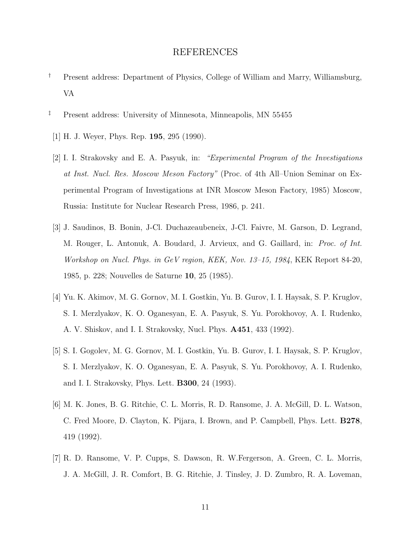# REFERENCES

- <span id="page-10-0"></span>† Present address: Department of Physics, College of William and Marry, Williamsburg, VA
- ‡ Present address: University of Minnesota, Minneapolis, MN 55455
- [1] H. J. Weyer, Phys. Rep. 195, 295 (1990).
- [2] I. I. Strakovsky and E. A. Pasyuk, in: *"Experimental Program of the Investigations at Inst. Nucl. Res. Moscow Meson Factory"* (Proc. of 4th All–Union Seminar on Experimental Program of Investigations at INR Moscow Meson Factory, 1985) Moscow, Russia: Institute for Nuclear Research Press, 1986, p. 241.
- [3] J. Saudinos, B. Bonin, J-Cl. Duchazeaubeneix, J-Cl. Faivre, M. Garson, D. Legrand, M. Rouger, L. Antonuk, A. Boudard, J. Arvieux, and G. Gaillard, in: *Proc. of Int. Workshop on Nucl. Phys. in GeV region, KEK, Nov. 13–15, 1984*, KEK Report 84-20, 1985, p. 228; Nouvelles de Saturne 10, 25 (1985).
- [4] Yu. K. Akimov, M. G. Gornov, M. I. Gostkin, Yu. B. Gurov, I. I. Haysak, S. P. Kruglov, S. I. Merzlyakov, K. O. Oganesyan, E. A. Pasyuk, S. Yu. Porokhovoy, A. I. Rudenko, A. V. Shiskov, and I. I. Strakovsky, Nucl. Phys. A451, 433 (1992).
- [5] S. I. Gogolev, M. G. Gornov, M. I. Gostkin, Yu. B. Gurov, I. I. Haysak, S. P. Kruglov, S. I. Merzlyakov, K. O. Oganesyan, E. A. Pasyuk, S. Yu. Porokhovoy, A. I. Rudenko, and I. I. Strakovsky, Phys. Lett. B300, 24 (1993).
- [6] M. K. Jones, B. G. Ritchie, C. L. Morris, R. D. Ransome, J. A. McGill, D. L. Watson, C. Fred Moore, D. Clayton, K. Pijara, I. Brown, and P. Campbell, Phys. Lett. B278, 419 (1992).
- [7] R. D. Ransome, V. P. Cupps, S. Dawson, R. W.Fergerson, A. Green, C. L. Morris, J. A. McGill, J. R. Comfort, B. G. Ritchie, J. Tinsley, J. D. Zumbro, R. A. Loveman,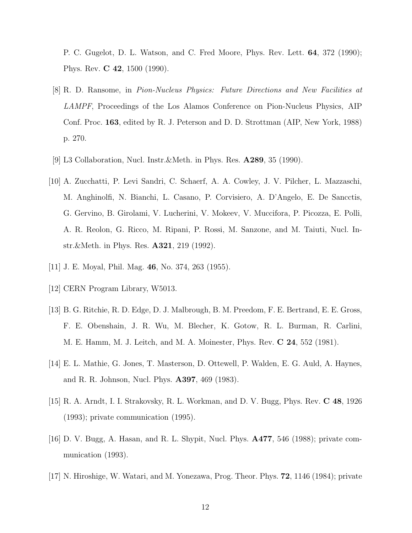<span id="page-11-0"></span>P. C. Gugelot, D. L. Watson, and C. Fred Moore, Phys. Rev. Lett. 64, 372 (1990); Phys. Rev. C 42, 1500 (1990).

- [8] R. D. Ransome, in *Pion-Nucleus Physics: Future Directions and New Facilities at LAMPF*, Proceedings of the Los Alamos Conference on Pion-Nucleus Physics, AIP Conf. Proc. 163, edited by R. J. Peterson and D. D. Strottman (AIP, New York, 1988) p. 270.
- [9] L3 Collaboration, Nucl. Instr.&Meth. in Phys. Res. A289, 35 (1990).
- [10] A. Zucchatti, P. Levi Sandri, C. Schaerf, A. A. Cowley, J. V. Pilcher, L. Mazzaschi, M. Anghinolfi, N. Bianchi, L. Casano, P. Corvisiero, A. D'Angelo, E. De Sancctis, G. Gervino, B. Girolami, V. Lucherini, V. Mokeev, V. Muccifora, P. Picozza, E. Polli, A. R. Reolon, G. Ricco, M. Ripani, P. Rossi, M. Sanzone, and M. Taiuti, Nucl. Instr.&Meth. in Phys. Res. A321, 219 (1992).
- [11] J. E. Moyal, Phil. Mag. 46, No. 374, 263 (1955).
- [12] CERN Program Library, W5013.
- [13] B. G. Ritchie, R. D. Edge, D. J. Malbrough, B. M. Preedom, F. E. Bertrand, E. E. Gross, F. E. Obenshain, J. R. Wu, M. Blecher, K. Gotow, R. L. Burman, R. Carlini, M. E. Hamm, M. J. Leitch, and M. A. Moinester, Phys. Rev. C 24, 552 (1981).
- [14] E. L. Mathie, G. Jones, T. Masterson, D. Ottewell, P. Walden, E. G. Auld, A. Haynes, and R. R. Johnson, Nucl. Phys. A397, 469 (1983).
- [15] R. A. Arndt, I. I. Strakovsky, R. L. Workman, and D. V. Bugg, Phys. Rev. C 48, 1926 (1993); private communication (1995).
- [16] D. V. Bugg, A. Hasan, and R. L. Shypit, Nucl. Phys. A477, 546 (1988); private communication (1993).
- [17] N. Hiroshige, W. Watari, and M. Yonezawa, Prog. Theor. Phys. 72, 1146 (1984); private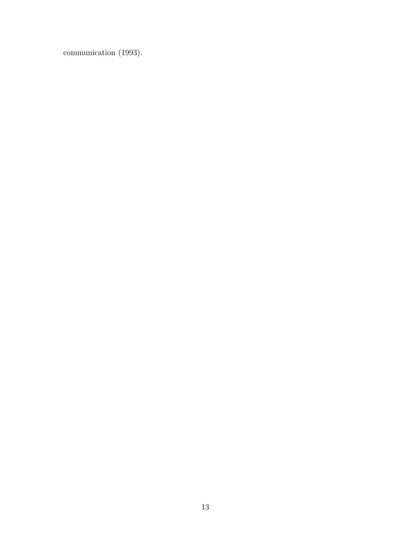communication (1993).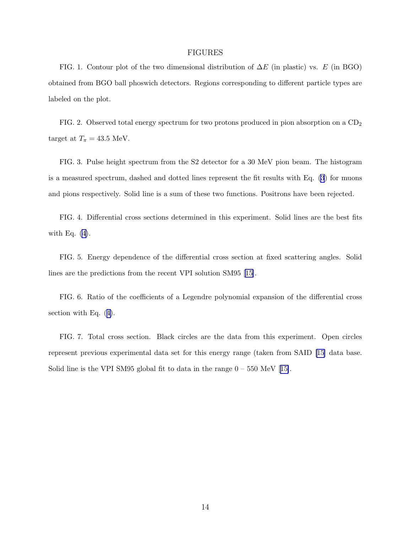# FIGURES

<span id="page-13-0"></span>FIG. 1. Contour plot of the two dimensional distribution of  $\Delta E$  (in plastic) vs. E (in BGO) obtained from BGO ball phoswich detectors. Regions corresponding to different particle types are labeled on the plot.

FIG. 2. Observed total energy spectrum for two protons produced in pion absorption on a  $CD_2$ target at  $T_{\pi} = 43.5$  MeV.

FIG. 3. Pulse height spectrum from the S2 detector for a 30 MeV pion beam. The histogram is a measured spectrum, dashed and dotted lines represent the fit results with Eq. [\(3](#page-6-0)) for muons and pions respectively. Solid line is a sum of these two functions. Positrons have been rejected.

FIG. 4. Differential cross sections determined in this experiment. Solid lines are the best fits with Eq.  $(4)$ .

FIG. 5. Energy dependence of the differential cross section at fixed scattering angles. Solid lines are the predictions from the recent VPI solution SM95[[15\]](#page-11-0).

FIG. 6. Ratio of the coefficients of a Legendre polynomial expansion of the differential cross sectionwith Eq.  $(4)$  $(4)$ .

FIG. 7. Total cross section. Black circles are the data from this experiment. Open circles represent previous experimental data set for this energy range (taken from SAID [\[15\]](#page-11-0) data base. Solidline is the VPI SM95 global fit to data in the range  $0 - 550$  MeV [[15\]](#page-11-0).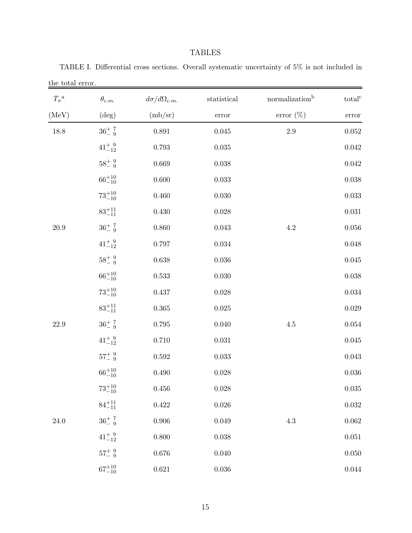# TABLES

<span id="page-14-0"></span>TABLE I. Differential cross sections. Overall systematic uncertainty of 5% is not included in the total error.

| $T_\pi{}^{\rm a}$ | $\theta_{c.m.}$           | $d\sigma/d\Omega_{c.m.}$ | statistical | normalization <sup>b</sup> | total <sup>c</sup> |
|-------------------|---------------------------|--------------------------|-------------|----------------------------|--------------------|
| (MeV)             | $(\text{deg})$            | (mb/sr)                  | error       | $error (\%)$               | error              |
| $18.8\,$          | $36^{+}_{-}$ $^{7}_{9}$   | 0.891                    | 0.045       | $2.9\,$                    | $0.052\,$          |
|                   | $41^{+9}_{-12}$           | 0.793                    | 0.035       |                            | 0.042              |
|                   | $58^{+9}_{-9}$            | 0.669                    | 0.038       |                            | 0.042              |
|                   | $66^{+10}_{-10}$          | 0.600                    | 0.033       |                            | $0.038\,$          |
|                   | $73^{+10}_{-10}$          | 0.460                    | 0.030       |                            | 0.033              |
|                   | $83^{+11}_{-11}$          | 0.430                    | 0.028       |                            | 0.031              |
| 20.9              | $36^{+}_{-}$ $^{7}_{9}$   | 0.860                    | 0.043       | $4.2\,$                    | 0.056              |
|                   | $41^{+9}_{-12}$           | 0.797                    | 0.034       |                            | 0.048              |
|                   | $58^{+9}_{-9}$            | 0.638                    | 0.036       |                            | 0.045              |
|                   | $66^{+10}_{-10}$          | 0.533                    | 0.030       |                            | 0.038              |
|                   | $73^{+10}_{-10}$          | 0.437                    | 0.028       |                            | 0.034              |
|                   | $83^{+11}_{-11}$          | 0.365                    | 0.025       |                            | 0.029              |
| $22.9\,$          | $36^{+}_{-}$ $^{7}_{9}$   | 0.795                    | 0.040       | $4.5\,$                    | 0.054              |
|                   | $41^{+9}_{-12}$           | 0.710                    | 0.031       |                            | 0.045              |
|                   | $57^{+9}_{-9}$            | $\!0.592$                | 0.033       |                            | 0.043              |
|                   | $66^{+10}_{-10}$          | 0.490                    | 0.028       |                            | 0.036              |
|                   | $73^{+10}_{-10}$          | $0.456\,$                | 0.028       |                            | $\,0.035\,$        |
|                   | $84^{+11}_{-11}$          | 0.422                    | 0.026       |                            | $\,0.032\,$        |
| $24.0\,$          | $36^{+}_{-}$ $^{7}_{9}$   | 0.906                    | 0.049       | $4.3\,$                    | $0.062\,$          |
|                   | $41^{+9}_{-12}$           | 0.800                    | 0.038       |                            | $0.051\,$          |
|                   | $57^{+9}_{-9}$            | 0.676                    | 0.040       |                            | $0.050\,$          |
|                   | $67\substack{+10 \\ -10}$ | $0.621\,$                | $0.036\,$   |                            | $\,0.044\,$        |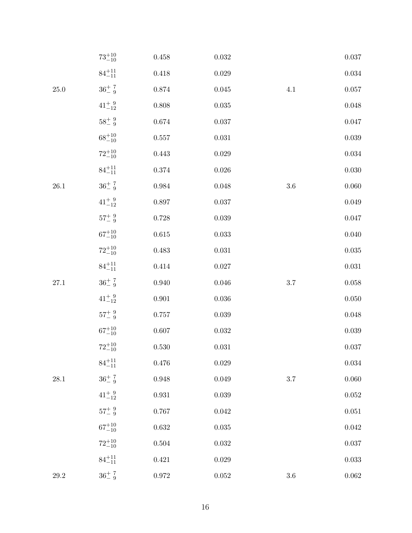|          | $73^{+10}_{-10}$          | $0.458\,$   | $\,0.032\,$ |         | $0.037\,$   |
|----------|---------------------------|-------------|-------------|---------|-------------|
|          | $84^{+11}_{-11}$          | $0.418\,$   | 0.029       |         | 0.034       |
| $25.0\,$ | $36^{+}_{-}$ $^{7}_{9}$   | $0.874\,$   | 0.045       | $4.1\,$ | $0.057\,$   |
|          | $41^{+9}_{-12}$           | $0.808\,$   | $\,0.035\,$ |         | $0.048\,$   |
|          | $58^{+9}_{-9}$            | $0.674\,$   | 0.037       |         | $0.047\,$   |
|          | $68^{+10}_{-10}$          | $0.557\,$   | $\,0.031\,$ |         | $0.039\,$   |
|          | $72^{+10}_{-10}$          | $\,0.443\,$ | 0.029       |         | $\,0.034\,$ |
|          | $84^{+11}_{-11}$          | $0.374\,$   | $0.026\,$   |         | $0.030\,$   |
| $26.1\,$ | $36^{+7}_{-9}$            | $\,0.984\,$ | $0.048\,$   | $3.6\,$ | $0.060\,$   |
|          | $41^{+9}_{-12}$           | $0.897\,$   | $0.037\,$   |         | 0.049       |
|          | $57^{+9}_{-9}$            | $0.728\,$   | 0.039       |         | $0.047\,$   |
|          | $67^{+10}_{-10}$          | $0.615\,$   | $\,0.033\,$ |         | 0.040       |
|          | $72^{+10}_{-10}$          | $\,0.483\,$ | $\,0.031\,$ |         | $0.035\,$   |
|          | $84^{+11}_{-11}$          | $0.414\,$   | $0.027\,$   |         | $\,0.031\,$ |
| $27.1\,$ | $36^{+}_{-}$ $^{7}_{9}$   | $0.940\,$   | 0.046       | $3.7\,$ | $0.058\,$   |
|          | $41^{+9}_{-12}$           | $0.901\,$   | 0.036       |         | $0.050\,$   |
|          | $57^{+9}_{-9}$            | $0.757\,$   | 0.039       |         | 0.048       |
|          | $67^{+10}_{-10}$          | $0.607\,$   | 0.032       |         | 0.039       |
|          | $72^{+10}_{-10}$          | $0.530\,$   | $\,0.031\,$ |         | 0.037       |
|          | $84\substack{+11 \\ -11}$ | $0.476\,$   | 0.029       |         | 0.034       |
| $28.1\,$ | $36^{+}_{-}$ $^{7}_{9}$   | $0.948\,$   | 0.049       | $3.7\,$ | 0.060       |
|          | $41^{+9}_{-12}$           | $\!0.931\!$ | 0.039       |         | $0.052\,$   |
|          | $57^{+9}_{-9}$            | $0.767\,$   | $\,0.042\,$ |         | $0.051\,$   |
|          | $67^{+10}_{-10}$          | $0.632\,$   | 0.035       |         | 0.042       |
|          | $72^{+10}_{-10}$          | $0.504\,$   | $\,0.032\,$ |         | 0.037       |
|          | $84^{+11}_{-11}$          | $0.421\,$   | $\,0.029\,$ |         | 0.033       |
| $29.2\,$ | $36^{+}_{-}$ $^{7}_{9}$   | $0.972\,$   | $0.052\,$   | $3.6\,$ | 0.062       |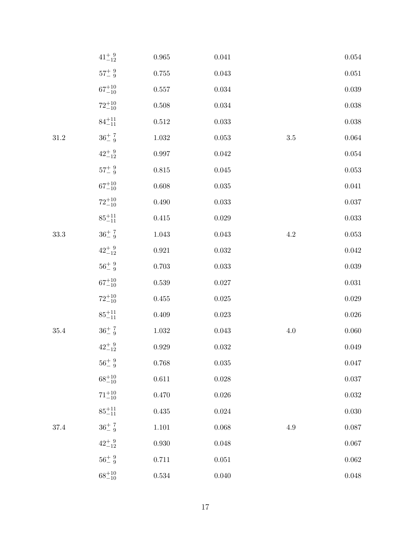|          | $41^{+9}_{-12}$         | $\,0.965\,$ | $\,0.041\,$ |         | 0.054     |
|----------|-------------------------|-------------|-------------|---------|-----------|
|          | $57^{+9}_{-9}$          | $0.755\,$   | $0.043\,$   |         | 0.051     |
|          | $67^{+10}_{-10}$        | $0.557\,$   | $\,0.034\,$ |         | 0.039     |
|          | $72^{+10}_{-10}$        | $0.508\,$   | $\,0.034\,$ |         | 0.038     |
|          | $84^{+11}_{-11}$        | $0.512\,$   | $\,0.033\,$ |         | 0.038     |
| $31.2\,$ | $36^{+}_{-}$ $^{7}_{9}$ | $1.032\,$   | $\,0.053\,$ | $\!.5$  | 0.064     |
|          | $42^{+9}_{-12}$         | $0.997\,$   | $\,0.042\,$ |         | 0.054     |
|          | $57^{+9}_{-9}$          | $0.815\,$   | 0.045       |         | $0.053\,$ |
|          | $67^{+10}_{-10}$        | $0.608\,$   | $\,0.035\,$ |         | 0.041     |
|          | $72^{+10}_{-10}$        | $0.490\,$   | $\,0.033\,$ |         | 0.037     |
|          | $85^{+11}_{-11}$        | $0.415\,$   | $\,0.029\,$ |         | 0.033     |
| $33.3\,$ | $36^{+}_{-}$ $^{7}_{9}$ | 1.043       | $\,0.043\,$ | $4.2\,$ | 0.053     |
|          | $42^{+9}_{-12}$         | $\rm 0.921$ | $\,0.032\,$ |         | 0.042     |
|          | $56^{+9}$               | $0.703\,$   | $\,0.033\,$ |         | $0.039\,$ |
|          | $67^{+10}_{-10}$        | $\,0.539\,$ | $0.027\,$   |         | 0.031     |
|          | $72^{+10}_{-10}$        | $0.455\,$   | $0.025\,$   |         | $0.029\,$ |
|          | $85^{+11}_{-11}$        | $0.409\,$   | $\,0.023\,$ |         | $0.026\,$ |
| $35.4\,$ | $36^{+7}_{-9}$          | $1.032\,$   | $\,0.043\,$ | $4.0\,$ | 0.060     |
|          | $42^{+9}_{-12}$         | 0.929       | $\,0.032\,$ |         | 0.049     |
|          | $56^{+9}_{-9}$          | 0.768       | $\,0.035\,$ |         | 0.047     |
|          | $68^{+10}_{-10}$        | $0.611\,$   | 0.028       |         | 0.037     |
|          | $71^{+10}_{-10}$        | $0.470\,$   | $0.026\,$   |         | 0.032     |
|          | $85^{+11}_{-11}$        | $0.435\,$   | $\,0.024\,$ |         | 0.030     |
| $37.4\,$ | $36^{+7}_{-9}$          | $1.101\,$   | 0.068       | $4.9\,$ | 0.087     |
|          | $42^{+9}_{-12}$         | $0.930\,$   | 0.048       |         | 0.067     |
|          | $56^{+9}_{-9}$          | 0.711       | $0.051\,$   |         | 0.062     |
|          | $68^{+10}_{-10}$        | $\,0.534\,$ | $0.040\,$   |         | 0.048     |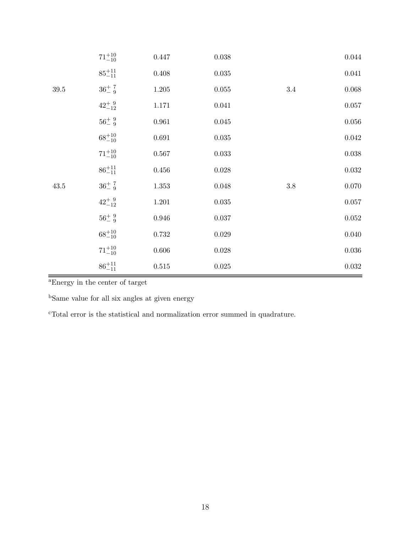|          | $71^{+10}_{-10}$        | $0.447\,$   | $0.038\,$   |         | $\,0.044\,$ |
|----------|-------------------------|-------------|-------------|---------|-------------|
|          | $85^{+11}_{-11}$        | $0.408\,$   | $0.035\,$   |         | $0.041\,$   |
| $39.5\,$ | $36^{+}_{-}$ $^{7}_{9}$ | $1.205\,$   | $0.055\,$   | $3.4\,$ | $0.068\,$   |
|          | $42^{+9}_{-12}$         | 1.171       | $\,0.041\,$ |         | $0.057\,$   |
|          | $56^{+9}_{-9}$          | $\,0.961\,$ | 0.045       |         | $0.056\,$   |
|          | $68^{+10}_{-10}$        | $\,0.691\,$ | $\,0.035\,$ |         | $\,0.042\,$ |
|          | $71^{+10}_{-10}$        | $0.567\,$   | $\,0.033\,$ |         | $0.038\,$   |
|          | $86^{+11}_{-11}$        | $0.456\,$   | $0.028\,$   |         | $\,0.032\,$ |
| $43.5\,$ | $36^{+7}_{-9}$          | 1.353       | $0.048\,$   | $3.8\,$ | $0.070\,$   |
|          | $42^{+9}_{-12}$         | $1.201\,$   | $\,0.035\,$ |         | $0.057\,$   |
|          | $56^{+9}_{-9}$          | $\,0.946\,$ | $0.037\,$   |         | $0.052\,$   |
|          | $68^{+10}_{-10}$        | 0.732       | $0.029\,$   |         | $0.040\,$   |
|          | $71^{+10}_{-10}$        | $0.606\,$   | 0.028       |         | $0.036\,$   |
|          | $86^{+11}_{-11}$        | $0.515\,$   | $0.025\,$   |         | $\,0.032\,$ |
|          |                         |             |             |         |             |

<sup>a</sup>Energy in the center of target

 $^{\rm b}$ Same value for all six angles at given energy

<sup>c</sup>Total error is the statistical and normalization error summed in quadrature.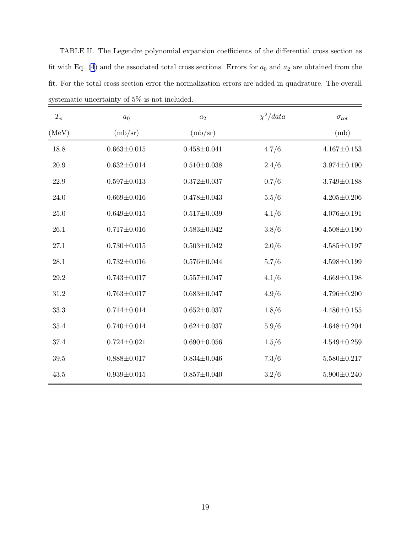<span id="page-18-0"></span>TABLE II. The Legendre polynomial expansion coefficients of the differential cross section as fit with Eq. [\(4\)](#page-7-0) and the associated total cross sections. Errors for  $a_0$  and  $a_2$  are obtained from the fit. For the total cross section error the normalization errors are added in quadrature. The overall systematic uncertainty of 5% is not included.

| $T_\pi$  | $a_0$             | $a_2$             | $\chi^2/data$ | $\sigma_{tot}$    |
|----------|-------------------|-------------------|---------------|-------------------|
| (MeV)    | (mb/sr)           | (mb/sr)           |               | (mb)              |
| 18.8     | $0.663 \pm 0.015$ | $0.458 \pm 0.041$ | 4.7/6         | $4.167 \pm 0.153$ |
| 20.9     | $0.632 \pm 0.014$ | $0.510 + 0.038$   | 2.4/6         | $3.974 \pm 0.190$ |
| 22.9     | $0.597 \pm 0.013$ | $0.372 \pm 0.037$ | 0.7/6         | $3.749 \pm 0.188$ |
| 24.0     | $0.669 \pm 0.016$ | $0.478 \pm 0.043$ | 5.5/6         | $4.205 \pm 0.206$ |
| 25.0     | $0.649 \pm 0.015$ | $0.517 \pm 0.039$ | 4.1/6         | $4.076 \pm 0.191$ |
| 26.1     | $0.717 \pm 0.016$ | $0.583 \pm 0.042$ | 3.8/6         | $4.508 \pm 0.190$ |
| 27.1     | $0.730 \pm 0.015$ | $0.503 \pm 0.042$ | 2.0/6         | $4.585 \pm 0.197$ |
| 28.1     | $0.732 \pm 0.016$ | $0.576 \pm 0.044$ | 5.7/6         | $4.598 \pm 0.199$ |
| 29.2     | $0.743 \pm 0.017$ | $0.557 \pm 0.047$ | 4.1/6         | $4.669 \pm 0.198$ |
| 31.2     | $0.763 \pm 0.017$ | $0.683 \pm 0.047$ | 4.9/6         | $4.796 \pm 0.200$ |
| 33.3     | $0.714 \pm 0.014$ | $0.652 \pm 0.037$ | 1.8/6         | $4.486 \pm 0.155$ |
| 35.4     | $0.740 \pm 0.014$ | $0.624 \pm 0.037$ | 5.9/6         | $4.648 \pm 0.204$ |
| 37.4     | $0.724 \pm 0.021$ | $0.690 \pm 0.056$ | 1.5/6         | $4.549 \pm 0.259$ |
| $39.5\,$ | $0.888 \pm 0.017$ | $0.834 \pm 0.046$ | 7.3/6         | $5.580 \pm 0.217$ |
| 43.5     | $0.939 \pm 0.015$ | $0.857 \pm 0.040$ | 3.2/6         | $5.900 \pm 0.240$ |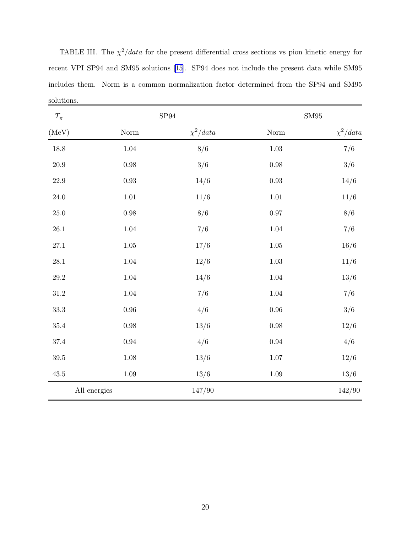<span id="page-19-0"></span>TABLE III. The  $\chi^2/data$  for the present differential cross sections vs pion kinetic energy for recent VPI SP94 and SM95 solutions[[15\]](#page-11-0). SP94 does not include the present data while SM95 includes them. Norm is a common normalization factor determined from the SP94 and SM95 solutions.

| $T_\pi$  | ${\rm SP}94$ |               | $\mathop{\rm SM95}$ |               |  |
|----------|--------------|---------------|---------------------|---------------|--|
| (MeV)    | Norm         | $\chi^2/data$ | $\mbox{Norm}$       | $\chi^2/data$ |  |
| 18.8     | $1.04\,$     | 8/6           | $1.03\,$            | 7/6           |  |
| $20.9\,$ | $0.98\,$     | 3/6           | $0.98\,$            | 3/6           |  |
| $22.9\,$ | $0.93\,$     | 14/6          | $\rm 0.93$          | 14/6          |  |
| $24.0\,$ | $1.01\,$     | 11/6          | $1.01\,$            | 11/6          |  |
| $25.0\,$ | 0.98         | 8/6           | 0.97                | 8/6           |  |
| $26.1\,$ | $1.04\,$     | 7/6           | 1.04                | 7/6           |  |
| $27.1\,$ | $1.05\,$     | 17/6          | $1.05\,$            | $16/6$        |  |
| $28.1\,$ | $1.04\,$     | 12/6          | $1.03\,$            | 11/6          |  |
| $29.2\,$ | $1.04\,$     | 14/6          | 1.04                | 13/6          |  |
| $31.2\,$ | $1.04\,$     | 7/6           | 1.04                | 7/6           |  |
| $33.3\,$ | $\rm 0.96$   | 4/6           | $0.96\,$            | 3/6           |  |
| $35.4\,$ | $0.98\,$     | 13/6          | $0.98\,$            | $12/6\,$      |  |
| $37.4\,$ | $\rm 0.94$   | 4/6           | $\rm 0.94$          | 4/6           |  |
| $39.5\,$ | 1.08         | 13/6          | 1.07                | 12/6          |  |
| $43.5\,$ | $1.09\,$     | 13/6          | 1.09                | 13/6          |  |
|          | All energies | 147/90        |                     | 142/90        |  |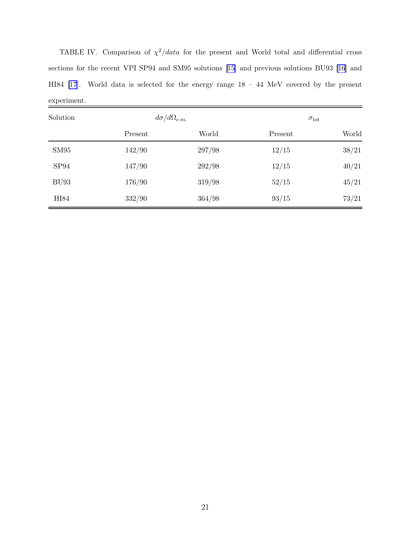<span id="page-20-0"></span>TABLE IV. Comparison of  $\chi^2/data$  for the present and World total and differential cross sections for the recent VPI SP94 and SM95 solutions [\[15\]](#page-11-0) and previous solutions BU93 [\[16](#page-11-0)] and HI84 [\[17](#page-11-0)]. World data is selected for the energy range 18 – 44 MeV covered by the present experiment.

| Solution         | $d\sigma/d\Omega_{c.m.}$ |        | $\sigma_{tot}$ |       |  |
|------------------|--------------------------|--------|----------------|-------|--|
|                  | Present                  | World  | Present        | World |  |
| SM <sub>95</sub> | 142/90                   | 297/98 | 12/15          | 38/21 |  |
| SP <sub>94</sub> | 147/90                   | 292/98 | 12/15          | 40/21 |  |
| <b>BU93</b>      | 176/90                   | 319/98 | 52/15          | 45/21 |  |
| HI84             | 332/90                   | 364/98 | 93/15          | 73/21 |  |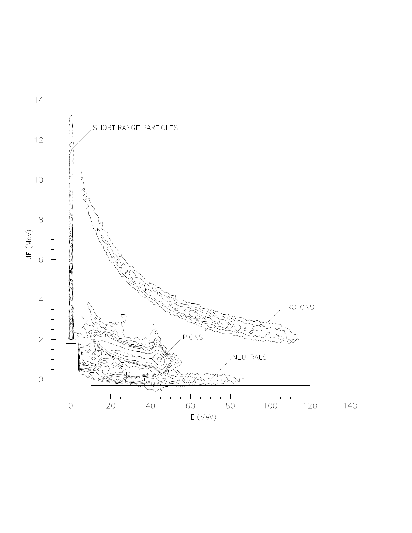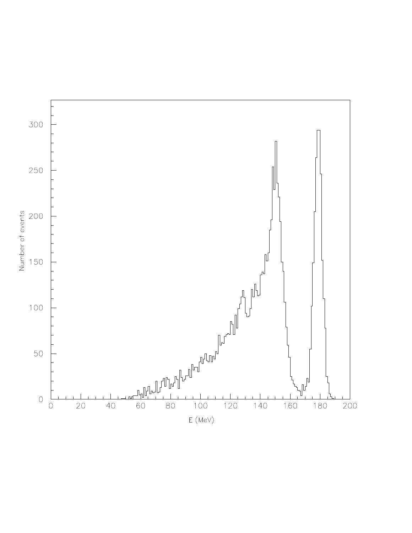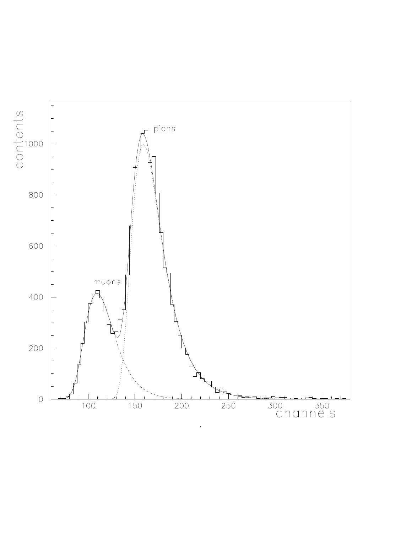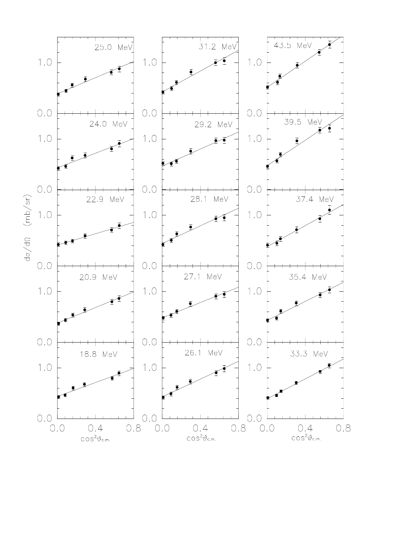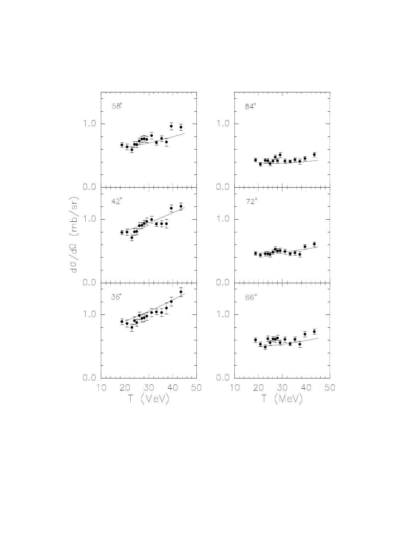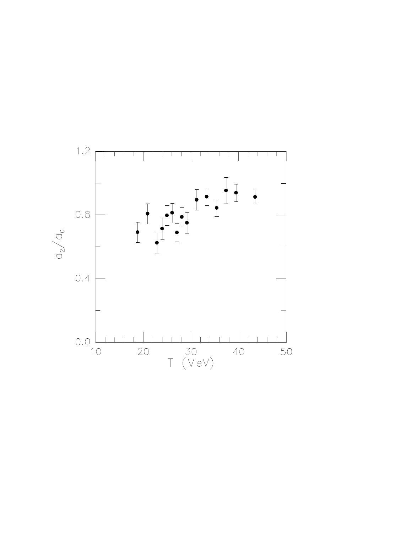